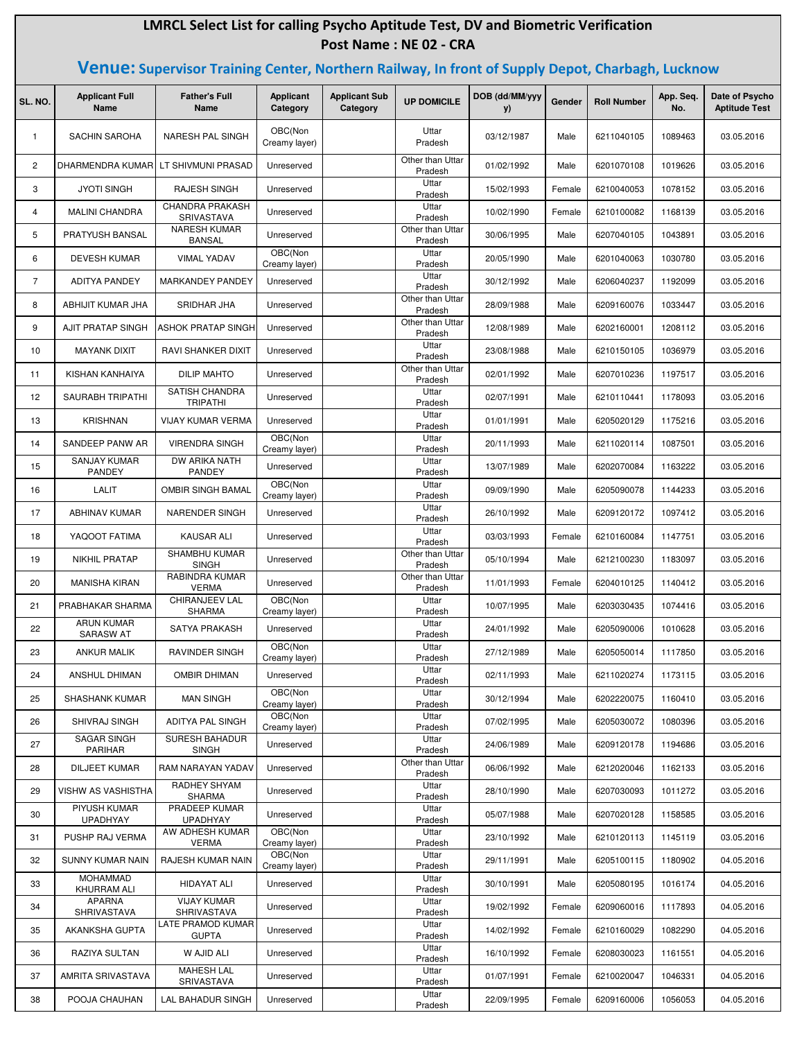## **LMRCL Select List for calling Psycho Aptitude Test, DV and Biometric Verification Post Name : NE 02 - CRA**

## **Venue: Supervisor Training Center, Northern Railway, In front of Supply Depot, Charbagh, Lucknow**

| SL. NO.        | <b>Applicant Full</b><br><b>Name</b>  | <b>Father's Full</b><br>Name             | <b>Applicant</b><br>Category | <b>Applicant Sub</b><br>Category | <b>UP DOMICILE</b>          | DOB (dd/MM/yyy<br>y) | Gender | <b>Roll Number</b> | App. Seq.<br>No. | Date of Psycho<br><b>Aptitude Test</b> |
|----------------|---------------------------------------|------------------------------------------|------------------------------|----------------------------------|-----------------------------|----------------------|--------|--------------------|------------------|----------------------------------------|
| $\mathbf{1}$   | <b>SACHIN SAROHA</b>                  | <b>NARESH PAL SINGH</b>                  | OBC(Non<br>Creamy layer)     |                                  | Uttar<br>Pradesh            | 03/12/1987           | Male   | 6211040105         | 1089463          | 03.05.2016                             |
| $\overline{c}$ | DHARMENDRA KUMAR                      | LT SHIVMUNI PRASAD                       | Unreserved                   |                                  | Other than Uttar<br>Pradesh | 01/02/1992           | Male   | 6201070108         | 1019626          | 03.05.2016                             |
| 3              | <b>JYOTI SINGH</b>                    | RAJESH SINGH                             | Unreserved                   |                                  | Uttar<br>Pradesh            | 15/02/1993           | Female | 6210040053         | 1078152          | 03.05.2016                             |
| 4              | <b>MALINI CHANDRA</b>                 | <b>CHANDRA PRAKASH</b><br>SRIVASTAVA     | Unreserved                   |                                  | Uttar<br>Pradesh            | 10/02/1990           | Female | 6210100082         | 1168139          | 03.05.2016                             |
| 5              | PRATYUSH BANSAL                       | <b>NARESH KUMAR</b><br><b>BANSAL</b>     | Unreserved                   |                                  | Other than Uttar<br>Pradesh | 30/06/1995           | Male   | 6207040105         | 1043891          | 03.05.2016                             |
| 6              | <b>DEVESH KUMAR</b>                   | <b>VIMAL YADAV</b>                       | OBC(Non<br>Creamy layer)     |                                  | Uttar<br>Pradesh            | 20/05/1990           | Male   | 6201040063         | 1030780          | 03.05.2016                             |
| 7              | <b>ADITYA PANDEY</b>                  | <b>MARKANDEY PANDEY</b>                  | Unreserved                   |                                  | Uttar<br>Pradesh            | 30/12/1992           | Male   | 6206040237         | 1192099          | 03.05.2016                             |
| 8              | ABHIJIT KUMAR JHA                     | SRIDHAR JHA                              | Unreserved                   |                                  | Other than Uttar<br>Pradesh | 28/09/1988           | Male   | 6209160076         | 1033447          | 03.05.2016                             |
| 9              | AJIT PRATAP SINGH                     | <b>ASHOK PRATAP SINGH</b>                | Unreserved                   |                                  | Other than Uttar<br>Pradesh | 12/08/1989           | Male   | 6202160001         | 1208112          | 03.05.2016                             |
| 10             | <b>MAYANK DIXIT</b>                   | RAVI SHANKER DIXIT                       | Unreserved                   |                                  | Uttar<br>Pradesh            | 23/08/1988           | Male   | 6210150105         | 1036979          | 03.05.2016                             |
| 11             | KISHAN KANHAIYA                       | <b>DILIP MAHTO</b>                       | Unreserved                   |                                  | Other than Uttar<br>Pradesh | 02/01/1992           | Male   | 6207010236         | 1197517          | 03.05.2016                             |
| 12             | SAURABH TRIPATHI                      | <b>SATISH CHANDRA</b><br><b>TRIPATHI</b> | Unreserved                   |                                  | Uttar<br>Pradesh            | 02/07/1991           | Male   | 6210110441         | 1178093          | 03.05.2016                             |
| 13             | <b>KRISHNAN</b>                       | <b>VIJAY KUMAR VERMA</b>                 | Unreserved                   |                                  | Uttar<br>Pradesh            | 01/01/1991           | Male   | 6205020129         | 1175216          | 03.05.2016                             |
| 14             | SANDEEP PANW AR                       | <b>VIRENDRA SINGH</b>                    | OBC(Non<br>Creamy layer)     |                                  | Uttar<br>Pradesh            | 20/11/1993           | Male   | 6211020114         | 1087501          | 03.05.2016                             |
| 15             | SANJAY KUMAR<br>PANDEY                | DW ARIKA NATH<br>PANDEY                  | Unreserved                   |                                  | Uttar<br>Pradesh            | 13/07/1989           | Male   | 6202070084         | 1163222          | 03.05.2016                             |
| 16             | <b>LALIT</b>                          | OMBIR SINGH BAMAL                        | OBC(Non<br>Creamy layer)     |                                  | Uttar<br>Pradesh            | 09/09/1990           | Male   | 6205090078         | 1144233          | 03.05.2016                             |
| 17             | <b>ABHINAV KUMAR</b>                  | <b>NARENDER SINGH</b>                    | Unreserved                   |                                  | Uttar<br>Pradesh            | 26/10/1992           | Male   | 6209120172         | 1097412          | 03.05.2016                             |
| 18             | YAQOOT FATIMA                         | <b>KAUSAR ALI</b>                        | Unreserved                   |                                  | Uttar<br>Pradesh            | 03/03/1993           | Female | 6210160084         | 1147751          | 03.05.2016                             |
| 19             | <b>NIKHIL PRATAP</b>                  | SHAMBHU KUMAR<br><b>SINGH</b>            | Unreserved                   |                                  | Other than Uttar<br>Pradesh | 05/10/1994           | Male   | 6212100230         | 1183097          | 03.05.2016                             |
| 20             | <b>MANISHA KIRAN</b>                  | RABINDRA KUMAR<br><b>VERMA</b>           | Unreserved                   |                                  | Other than Uttar<br>Pradesh | 11/01/1993           | Female | 6204010125         | 1140412          | 03.05.2016                             |
| 21             | PRABHAKAR SHARMA                      | CHIRANJEEV LAL<br>SHARMA                 | OBC(Non<br>Creamy layer)     |                                  | Uttar<br>Pradesh            | 10/07/1995           | Male   | 6203030435         | 1074416          | 03.05.2016                             |
| 22             | <b>ARUN KUMAR</b><br><b>SARASW AT</b> | SATYA PRAKASH                            | Unreserved                   |                                  | Uttar<br>Pradesh            | 24/01/1992           | Male   | 6205090006         | 1010628          | 03.05.2016                             |
| 23             | <b>ANKUR MALIK</b>                    | RAVINDER SINGH                           | OBC(Non<br>Creamy layer)     |                                  | Uttar<br>Pradesh            | 27/12/1989           | Male   | 6205050014         | 1117850          | 03.05.2016                             |
| 24             | ANSHUL DHIMAN                         | OMBIR DHIMAN                             | Unreserved                   |                                  | Uttar<br>Pradesh            | 02/11/1993           | Male   | 6211020274         | 1173115          | 03.05.2016                             |
| 25             | <b>SHASHANK KUMAR</b>                 | <b>MAN SINGH</b>                         | OBC(Non<br>Creamy layer)     |                                  | Uttar<br>Pradesh            | 30/12/1994           | Male   | 6202220075         | 1160410          | 03.05.2016                             |
| 26             | <b>SHIVRAJ SINGH</b>                  | ADITYA PAL SINGH                         | OBC(Non<br>Creamy layer)     |                                  | Uttar<br>Pradesh            | 07/02/1995           | Male   | 6205030072         | 1080396          | 03.05.2016                             |
| 27             | <b>SAGAR SINGH</b><br>PARIHAR         | <b>SURESH BAHADUR</b><br><b>SINGH</b>    | Unreserved                   |                                  | Uttar<br>Pradesh            | 24/06/1989           | Male   | 6209120178         | 1194686          | 03.05.2016                             |
| 28             | DILJEET KUMAR                         | RAM NARAYAN YADAV                        | Unreserved                   |                                  | Other than Uttar<br>Pradesh | 06/06/1992           | Male   | 6212020046         | 1162133          | 03.05.2016                             |
| 29             | <b>VISHW AS VASHISTHA</b>             | RADHEY SHYAM<br><b>SHARMA</b>            | Unreserved                   |                                  | Uttar<br>Pradesh            | 28/10/1990           | Male   | 6207030093         | 1011272          | 03.05.2016                             |
| 30             | PIYUSH KUMAR<br><b>UPADHYAY</b>       | PRADEEP KUMAR<br><b>UPADHYAY</b>         | Unreserved                   |                                  | Uttar<br>Pradesh            | 05/07/1988           | Male   | 6207020128         | 1158585          | 03.05.2016                             |
| 31             | PUSHP RAJ VERMA                       | AW ADHESH KUMAR<br><b>VERMA</b>          | OBC(Non<br>Creamy layer)     |                                  | Uttar<br>Pradesh            | 23/10/1992           | Male   | 6210120113         | 1145119          | 03.05.2016                             |
| 32             | SUNNY KUMAR NAIN                      | RAJESH KUMAR NAIN                        | OBC(Non<br>Creamy layer)     |                                  | Uttar<br>Pradesh            | 29/11/1991           | Male   | 6205100115         | 1180902          | 04.05.2016                             |
| 33             | <b>MOHAMMAD</b><br>KHURRAM ALI        | HIDAYAT ALI                              | Unreserved                   |                                  | Uttar<br>Pradesh            | 30/10/1991           | Male   | 6205080195         | 1016174          | 04.05.2016                             |
| 34             | <b>APARNA</b><br>SHRIVASTAVA          | <b>VIJAY KUMAR</b><br>SHRIVASTAVA        | Unreserved                   |                                  | Uttar<br>Pradesh            | 19/02/1992           | Female | 6209060016         | 1117893          | 04.05.2016                             |
| 35             | AKANKSHA GUPTA                        | LATE PRAMOD KUMAR<br><b>GUPTA</b>        | Unreserved                   |                                  | Uttar<br>Pradesh            | 14/02/1992           | Female | 6210160029         | 1082290          | 04.05.2016                             |
| 36             | RAZIYA SULTAN                         | W AJID ALI                               | Unreserved                   |                                  | Uttar<br>Pradesh            | 16/10/1992           | Female | 6208030023         | 1161551          | 04.05.2016                             |
| 37             | AMRITA SRIVASTAVA                     | <b>MAHESH LAL</b><br>SRIVASTAVA          | Unreserved                   |                                  | Uttar<br>Pradesh            | 01/07/1991           | Female | 6210020047         | 1046331          | 04.05.2016                             |
| 38             | POOJA CHAUHAN                         | LAL BAHADUR SINGH                        | Unreserved                   |                                  | Uttar<br>Pradesh            | 22/09/1995           | Female | 6209160006         | 1056053          | 04.05.2016                             |